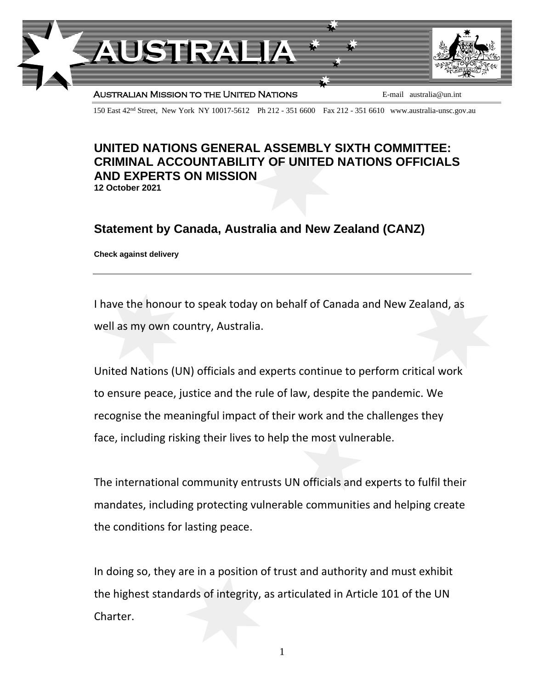

150 East 42nd Street, New York NY 10017-5612 Ph 212 - 351 6600 Fax 212 - 351 6610 www.australia-unsc.gov.au

## **UNITED NATIONS GENERAL ASSEMBLY SIXTH COMMITTEE: CRIMINAL ACCOUNTABILITY OF UNITED NATIONS OFFICIALS AND EXPERTS ON MISSION 12 October 2021**

## **Statement by Canada, Australia and New Zealand (CANZ)**

**Check against delivery**

I have the honour to speak today on behalf of Canada and New Zealand, as well as my own country, Australia.

United Nations (UN) officials and experts continue to perform critical work to ensure peace, justice and the rule of law, despite the pandemic. We recognise the meaningful impact of their work and the challenges they face, including risking their lives to help the most vulnerable.

The international community entrusts UN officials and experts to fulfil their mandates, including protecting vulnerable communities and helping create the conditions for lasting peace.

In doing so, they are in a position of trust and authority and must exhibit the highest standards of integrity, as articulated in Article 101 of the UN Charter.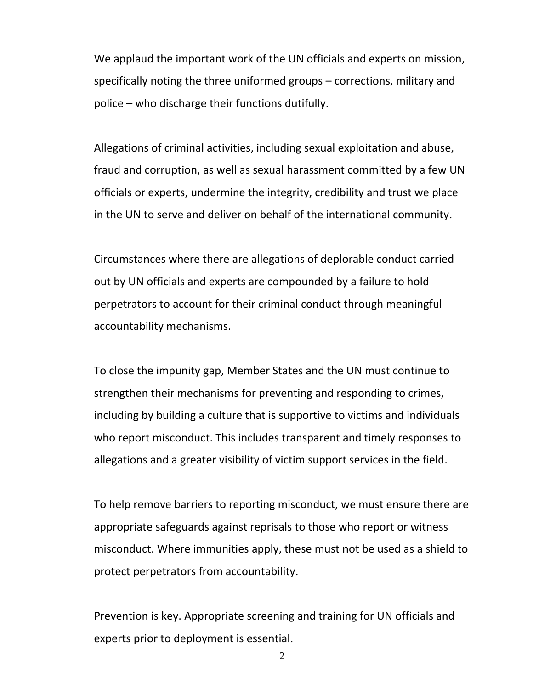We applaud the important work of the UN officials and experts on mission, specifically noting the three uniformed groups – corrections, military and police – who discharge their functions dutifully.

Allegations of criminal activities, including sexual exploitation and abuse, fraud and corruption, as well as sexual harassment committed by a few UN officials or experts, undermine the integrity, credibility and trust we place in the UN to serve and deliver on behalf of the international community.

Circumstances where there are allegations of deplorable conduct carried out by UN officials and experts are compounded by a failure to hold perpetrators to account for their criminal conduct through meaningful accountability mechanisms.

To close the impunity gap, Member States and the UN must continue to strengthen their mechanisms for preventing and responding to crimes, including by building a culture that is supportive to victims and individuals who report misconduct. This includes transparent and timely responses to allegations and a greater visibility of victim support services in the field.

To help remove barriers to reporting misconduct, we must ensure there are appropriate safeguards against reprisals to those who report or witness misconduct. Where immunities apply, these must not be used as a shield to protect perpetrators from accountability.

Prevention is key. Appropriate screening and training for UN officials and experts prior to deployment is essential.

2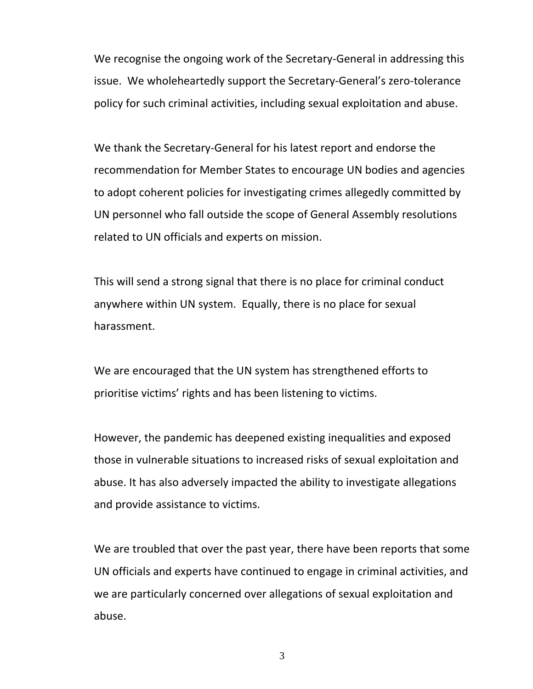We recognise the ongoing work of the Secretary-General in addressing this issue. We wholeheartedly support the Secretary-General's zero-tolerance policy for such criminal activities, including sexual exploitation and abuse.

We thank the Secretary-General for his latest report and endorse the recommendation for Member States to encourage UN bodies and agencies to adopt coherent policies for investigating crimes allegedly committed by UN personnel who fall outside the scope of General Assembly resolutions related to UN officials and experts on mission.

This will send a strong signal that there is no place for criminal conduct anywhere within UN system. Equally, there is no place for sexual harassment.

We are encouraged that the UN system has strengthened efforts to prioritise victims' rights and has been listening to victims.

However, the pandemic has deepened existing inequalities and exposed those in vulnerable situations to increased risks of sexual exploitation and abuse. It has also adversely impacted the ability to investigate allegations and provide assistance to victims.

We are troubled that over the past year, there have been reports that some UN officials and experts have continued to engage in criminal activities, and we are particularly concerned over allegations of sexual exploitation and abuse.

3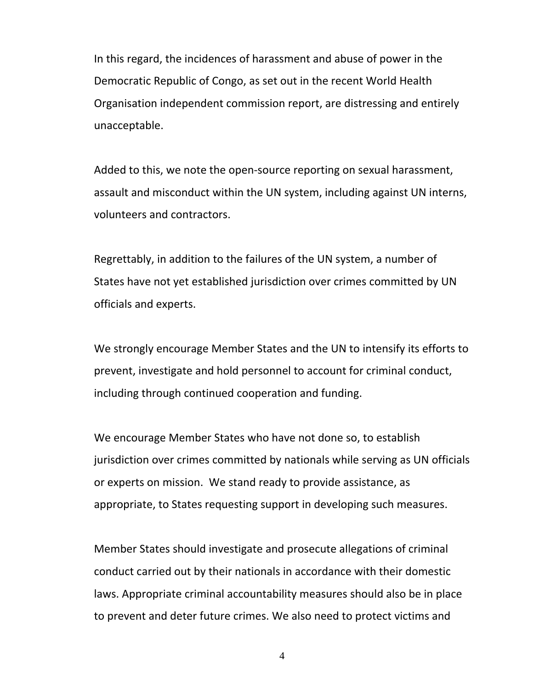In this regard, the incidences of harassment and abuse of power in the Democratic Republic of Congo, as set out in the recent World Health Organisation independent commission report, are distressing and entirely unacceptable.

Added to this, we note the open-source reporting on sexual harassment, assault and misconduct within the UN system, including against UN interns, volunteers and contractors.

Regrettably, in addition to the failures of the UN system, a number of States have not yet established jurisdiction over crimes committed by UN officials and experts.

We strongly encourage Member States and the UN to intensify its efforts to prevent, investigate and hold personnel to account for criminal conduct, including through continued cooperation and funding.

We encourage Member States who have not done so, to establish jurisdiction over crimes committed by nationals while serving as UN officials or experts on mission. We stand ready to provide assistance, as appropriate, to States requesting support in developing such measures.

Member States should investigate and prosecute allegations of criminal conduct carried out by their nationals in accordance with their domestic laws. Appropriate criminal accountability measures should also be in place to prevent and deter future crimes. We also need to protect victims and